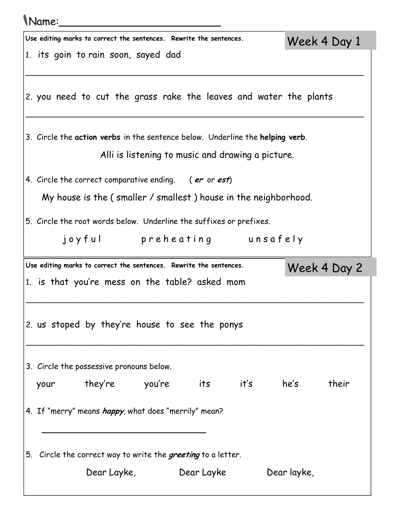| Name:                                                                         |               |
|-------------------------------------------------------------------------------|---------------|
| Use editing marks to correct the sentences. Rewrite the sentences.            | Week 4 Day 1  |
| 1. its goin to rain soon, sayed dad                                           |               |
| 2. you need to cut the grass rake the leaves and water the plants             |               |
| 3. Circle the action verbs in the sentence below. Underline the helping verb. |               |
| Alli is listening to music and drawing a picture.                             |               |
| 4. Circle the correct comparative ending. (er or est)                         |               |
| My house is the (smaller / smallest) house in the neighborhood.               |               |
| 5. Circle the root words below. Underline the suffixes or prefixes.           |               |
| joyful preheating unsafely                                                    |               |
| Use editing marks to correct the sentences. Rewrite the sentences.            | Week 4 Day 2  |
| 1. is that you're mess on the table? asked mom                                |               |
| 2. us stoped by they're house to see the ponys                                |               |
| 3. Circle the possessive pronouns below.                                      |               |
| they're          you're         its         it's<br>your                      | he's<br>their |
| 4. If "merry" means happy, what does "merrily" mean?                          |               |
| 5. Circle the correct way to write the greeting to a letter.                  |               |
| Dear Layke,<br>Dear Layke                                                     | Dear layke,   |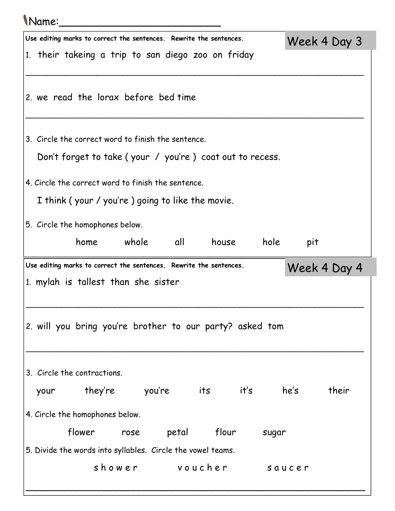## Name:\_\_\_\_\_\_\_\_\_\_\_\_\_\_\_\_\_\_\_\_\_\_\_\_\_

|                                                                    | Use editing marks to correct the sentences. Rewrite the sentences. |                |       |       |        |      | Week 4 Day 3 |
|--------------------------------------------------------------------|--------------------------------------------------------------------|----------------|-------|-------|--------|------|--------------|
| 1. their takeing a trip to san diego zoo on friday                 |                                                                    |                |       |       |        |      |              |
| 2. we read the lorax before bed time                               |                                                                    |                |       |       |        |      |              |
| 3. Circle the correct word to finish the sentence.                 | Don't forget to take (your / you're) coat out to recess.           |                |       |       |        |      |              |
| 4. Circle the correct word to finish the sentence.                 |                                                                    |                |       |       |        |      |              |
|                                                                    | I think (your / you're) going to like the movie.                   |                |       |       |        |      |              |
| 5. Circle the homophones below.                                    | home whole all                                                     |                |       | house | hole   | pit  |              |
| Use editing marks to correct the sentences. Rewrite the sentences. |                                                                    |                |       |       |        |      | Week 4 Day 4 |
| 1. mylah is tallest than she sister                                |                                                                    |                |       |       |        |      |              |
| 2. will you bring you're brother to our party? asked tom           |                                                                    |                |       |       |        |      |              |
| 3. Circle the contractions.                                        |                                                                    |                |       |       |        |      |              |
| your                                                               | they're                                                            | you're         |       | its   | it's   | he's | their        |
| 4. Circle the homophones below.                                    |                                                                    |                |       |       |        |      |              |
|                                                                    | flower                                                             | rose           | petal | flour | sugar  |      |              |
| 5. Divide the words into syllables. Circle the vowel teams.        |                                                                    |                |       |       |        |      |              |
|                                                                    |                                                                    | shower voucher |       |       | saucer |      |              |